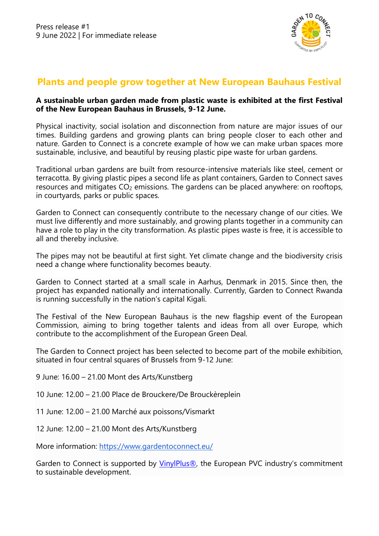

## **Plants and people grow together at New European Bauhaus Festival**

## **A sustainable urban garden made from plastic waste is exhibited at the first Festival of the New European Bauhaus in Brussels, 9-12 June.**

Physical inactivity, social isolation and disconnection from nature are major issues of our times. Building gardens and growing plants can bring people closer to each other and nature. Garden to Connect is a concrete example of how we can make urban spaces more sustainable, inclusive, and beautiful by reusing plastic pipe waste for urban gardens.

Traditional urban gardens are built from resource-intensive materials like steel, cement or terracotta. By giving plastic pipes a second life as plant containers, Garden to Connect saves resources and mitigates  $CO<sub>2</sub>$  emissions. The gardens can be placed anywhere: on rooftops, in courtyards, parks or public spaces.

Garden to Connect can consequently contribute to the necessary change of our cities. We must live differently and more sustainably, and growing plants together in a community can have a role to play in the city transformation. As plastic pipes waste is free, it is accessible to all and thereby inclusive.

The pipes may not be beautiful at first sight. Yet climate change and the biodiversity crisis need a change where functionality becomes beauty.

Garden to Connect started at a small scale in Aarhus, Denmark in 2015. Since then, the project has expanded nationally and internationally. Currently, Garden to Connect Rwanda is running successfully in the nation's capital Kigali.

The Festival of the New European Bauhaus is the new flagship event of the European Commission, aiming to bring together talents and ideas from all over Europe, which contribute to the accomplishment of the European Green Deal.

The Garden to Connect project has been selected to become part of the mobile exhibition, situated in four central squares of Brussels from 9-12 June:

- 9 June: 16.00 21.00 Mont des Arts/Kunstberg
- 10 June: 12.00 21.00 Place de Brouckere/De Brouckèreplein
- 11 June: 12.00 21.00 Marché aux poissons/Vismarkt
- 12 June: 12.00 21.00 Mont des Arts/Kunstberg

More information:<https://www.gardentoconnect.eu/>

Garden to Connect is supported by [VinylPlus®](https://www.vinylplus.eu/), the European PVC industry's commitment to sustainable development.